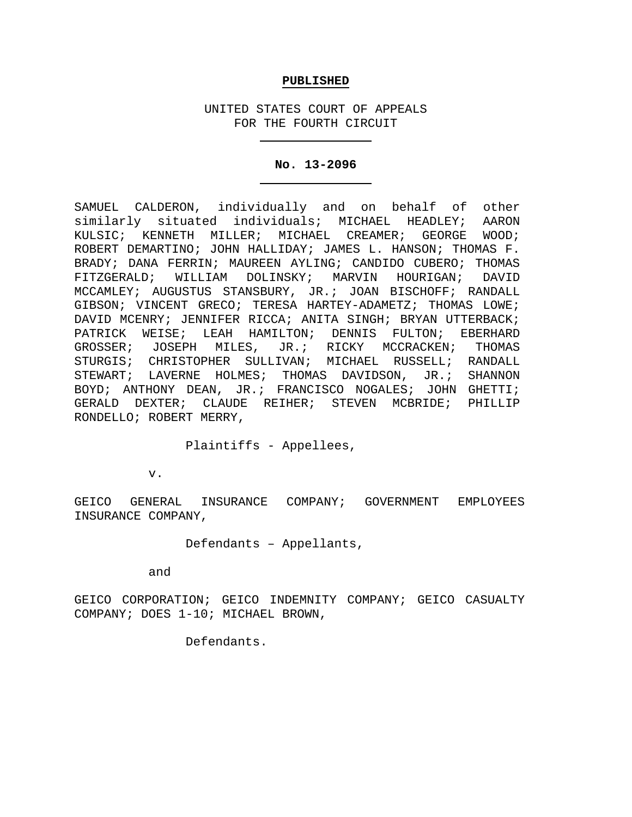### **PUBLISHED**

UNITED STATES COURT OF APPEALS FOR THE FOURTH CIRCUIT

#### **No. 13-2096**

SAMUEL CALDERON, individually and on behalf of other similarly situated individuals; MICHAEL HEADLEY; AARON KULSIC; KENNETH MILLER; MICHAEL CREAMER; GEORGE WOOD; ROBERT DEMARTINO; JOHN HALLIDAY; JAMES L. HANSON; THOMAS F. BRADY; DANA FERRIN; MAUREEN AYLING; CANDIDO CUBERO; THOMAS FITZGERALD; WILLIAM DOLINSKY; MARVIN HOURIGAN; DAVID MCCAMLEY; AUGUSTUS STANSBURY, JR.; JOAN BISCHOFF; RANDALL GIBSON; VINCENT GRECO; TERESA HARTEY-ADAMETZ; THOMAS LOWE; DAVID MCENRY; JENNIFER RICCA; ANITA SINGH; BRYAN UTTERBACK; PATRICK WEISE; LEAH HAMILTON; DENNIS FULTON; EBERHARD<br>GROSSER; JOSEPH MILES, JR.; RICKY MCCRACKEN; THOMAS JOSEPH MILES, JR.; RICKY MCCRACKEN; THOMAS STURGIS; CHRISTOPHER SULLIVAN; MICHAEL RUSSELL; RANDALL STEWART; LAVERNE HOLMES; THOMAS DAVIDSON, JR.; SHANNON BOYD; ANTHONY DEAN, JR.; FRANCISCO NOGALES; JOHN GHETTI; GERALD DEXTER; CLAUDE REIHER; STEVEN MCBRIDE; PHILLIP RONDELLO; ROBERT MERRY,

Plaintiffs - Appellees,

v.

GEICO GENERAL INSURANCE COMPANY; GOVERNMENT EMPLOYEES INSURANCE COMPANY,

# Defendants – Appellants,

and

GEICO CORPORATION; GEICO INDEMNITY COMPANY; GEICO CASUALTY COMPANY; DOES 1-10; MICHAEL BROWN,

Defendants.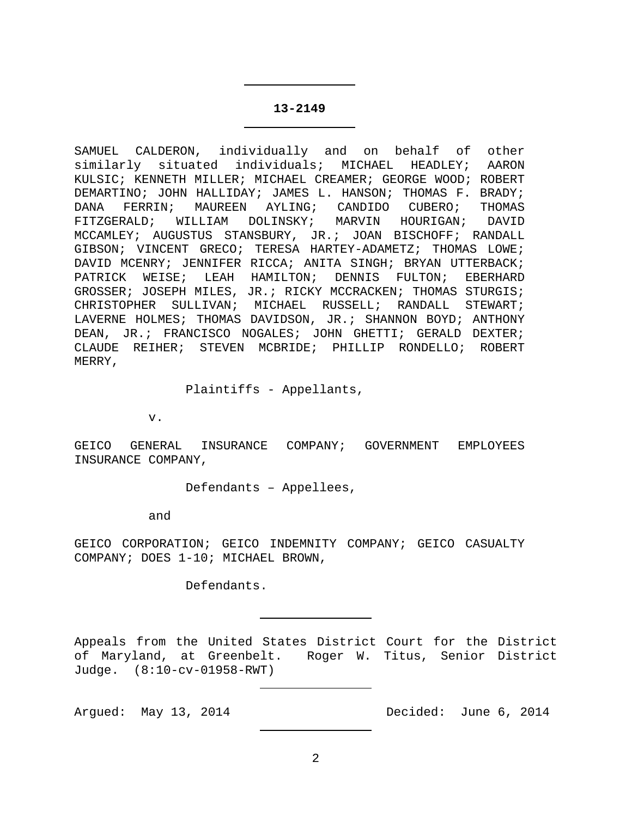#### **13-2149**

SAMUEL CALDERON, individually and on behalf of other similarly situated individuals; MICHAEL HEADLEY; AARON KULSIC; KENNETH MILLER; MICHAEL CREAMER; GEORGE WOOD; ROBERT DEMARTINO; JOHN HALLIDAY; JAMES L. HANSON; THOMAS F. BRADY; DANA FERRIN; MAUREEN AYLING; CANDIDO CUBERO; THOMAS<br>FITZGERALD; WILLIAM DOLINSKY; MARVIN HOURIGAN; DAVID FITZGERALD; WILLIAM DOLINSKY; MARVIN HOURIGAN; MCCAMLEY; AUGUSTUS STANSBURY, JR.; JOAN BISCHOFF; RANDALL GIBSON; VINCENT GRECO; TERESA HARTEY-ADAMETZ; THOMAS LOWE; DAVID MCENRY; JENNIFER RICCA; ANITA SINGH; BRYAN UTTERBACK; PATRICK WEISE; LEAH HAMILTON; DENNIS FULTON; EBERHARD GROSSER; JOSEPH MILES, JR.; RICKY MCCRACKEN; THOMAS STURGIS; CHRISTOPHER SULLIVAN; MICHAEL RUSSELL; RANDALL STEWART; LAVERNE HOLMES; THOMAS DAVIDSON, JR.; SHANNON BOYD; ANTHONY DEAN, JR.; FRANCISCO NOGALES; JOHN GHETTI; GERALD DEXTER; CLAUDE REIHER; STEVEN MCBRIDE; PHILLIP RONDELLO; ROBERT MERRY,

Plaintiffs - Appellants,

v.

GEICO GENERAL INSURANCE COMPANY; GOVERNMENT EMPLOYEES INSURANCE COMPANY,

Defendants – Appellees,

and

GEICO CORPORATION; GEICO INDEMNITY COMPANY; GEICO CASUALTY COMPANY; DOES 1-10; MICHAEL BROWN,

Defendants.

Appeals from the United States District Court for the District of Maryland, at Greenbelt. Roger W. Titus, Senior District Judge. (8:10-cv-01958-RWT)

Argued: May 13, 2014 Decided: June 6, 2014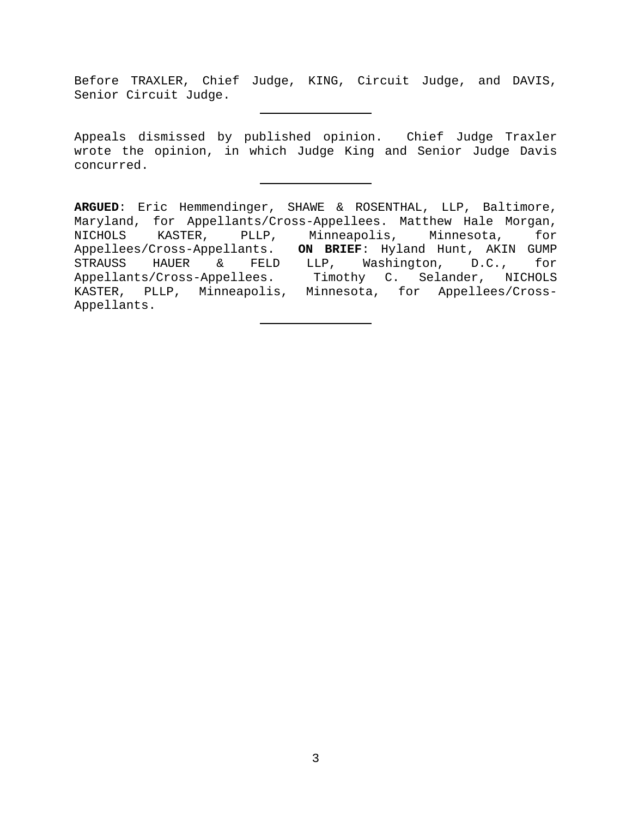Before TRAXLER, Chief Judge, KING, Circuit Judge, and DAVIS, Senior Circuit Judge.

Appeals dismissed by published opinion. Chief Judge Traxler wrote the opinion, in which Judge King and Senior Judge Davis concurred.

**ARGUED**: Eric Hemmendinger, SHAWE & ROSENTHAL, LLP, Baltimore, Maryland, for Appellants/Cross-Appellees. Matthew Hale Morgan,<br>NICHOLS KASTER, PLLP, Minneapolis, Minnesota, for KASTER, PLLP, Minneapolis, Minnesota, Appellees/Cross-Appellants. **ON BRIEF**: Hyland Hunt, AKIN GUMP STRAUSS HAUER & FELD LLP, Washington, D.C., for Appellants/Cross-Appellees. Timothy C. Selander, NICHOLS KASTER, PLLP, Minneapolis, Minnesota, for Appellees/Cross-Appellants.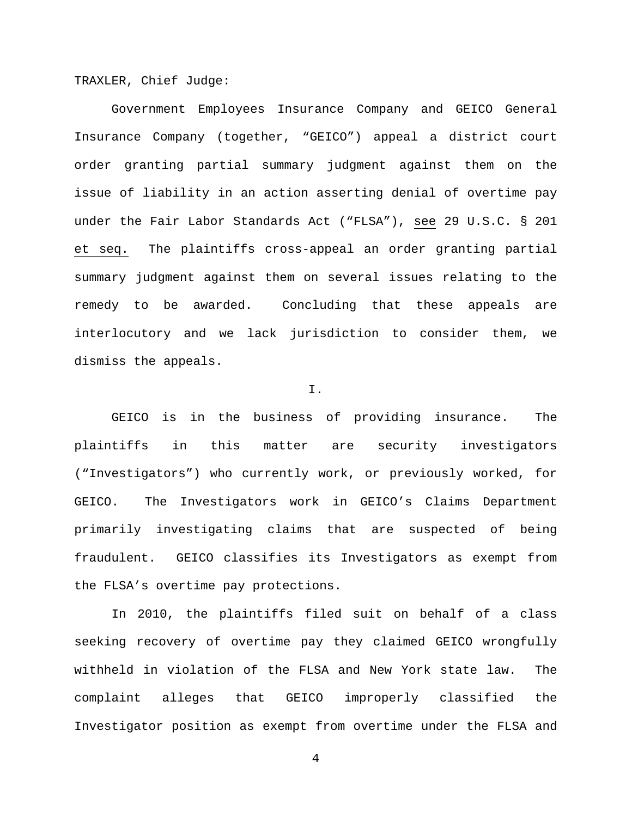TRAXLER, Chief Judge:

Government Employees Insurance Company and GEICO General Insurance Company (together, "GEICO") appeal a district court order granting partial summary judgment against them on the issue of liability in an action asserting denial of overtime pay under the Fair Labor Standards Act ("FLSA"), see 29 U.S.C. § 201 et seq. The plaintiffs cross-appeal an order granting partial summary judgment against them on several issues relating to the remedy to be awarded. Concluding that these appeals are interlocutory and we lack jurisdiction to consider them, we dismiss the appeals.

#### I.

GEICO is in the business of providing insurance. The plaintiffs in this matter are security investigators ("Investigators") who currently work, or previously worked, for GEICO. The Investigators work in GEICO's Claims Department primarily investigating claims that are suspected of being fraudulent. GEICO classifies its Investigators as exempt from the FLSA's overtime pay protections.

In 2010, the plaintiffs filed suit on behalf of a class seeking recovery of overtime pay they claimed GEICO wrongfully withheld in violation of the FLSA and New York state law. The complaint alleges that GEICO improperly classified the Investigator position as exempt from overtime under the FLSA and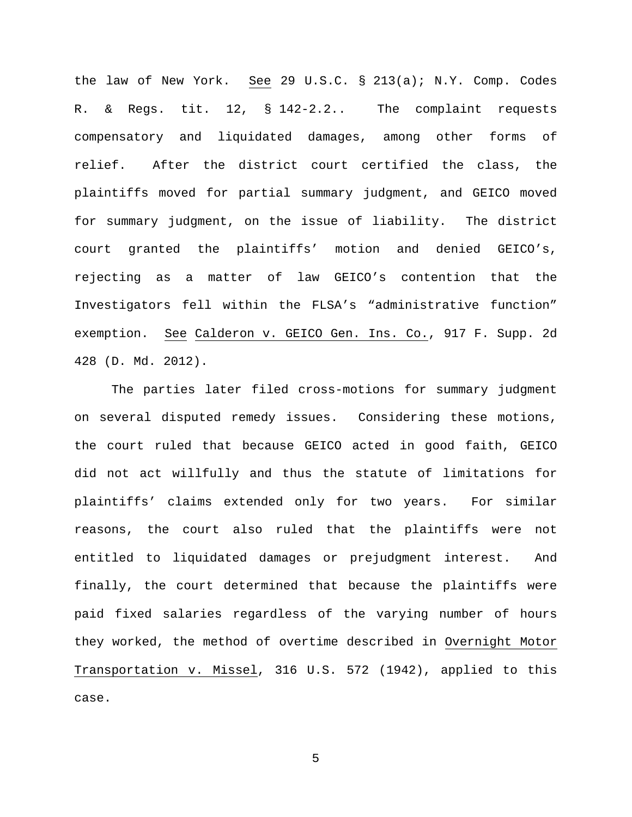the law of New York. See 29 U.S.C. § 213(a); N.Y. Comp. Codes R. & Regs. tit. 12, § 142-2.2.. The complaint requests compensatory and liquidated damages, among other forms of relief. After the district court certified the class, the plaintiffs moved for partial summary judgment, and GEICO moved for summary judgment, on the issue of liability. The district court granted the plaintiffs' motion and denied GEICO's, rejecting as a matter of law GEICO's contention that the Investigators fell within the FLSA's "administrative function" exemption. See Calderon v. GEICO Gen. Ins. Co., 917 F. Supp. 2d 428 (D. Md. 2012).

The parties later filed cross-motions for summary judgment on several disputed remedy issues. Considering these motions, the court ruled that because GEICO acted in good faith, GEICO did not act willfully and thus the statute of limitations for plaintiffs' claims extended only for two years. For similar reasons, the court also ruled that the plaintiffs were not entitled to liquidated damages or prejudgment interest. And finally, the court determined that because the plaintiffs were paid fixed salaries regardless of the varying number of hours they worked, the method of overtime described in Overnight Motor Transportation v. Missel, 316 U.S. 572 (1942), applied to this case.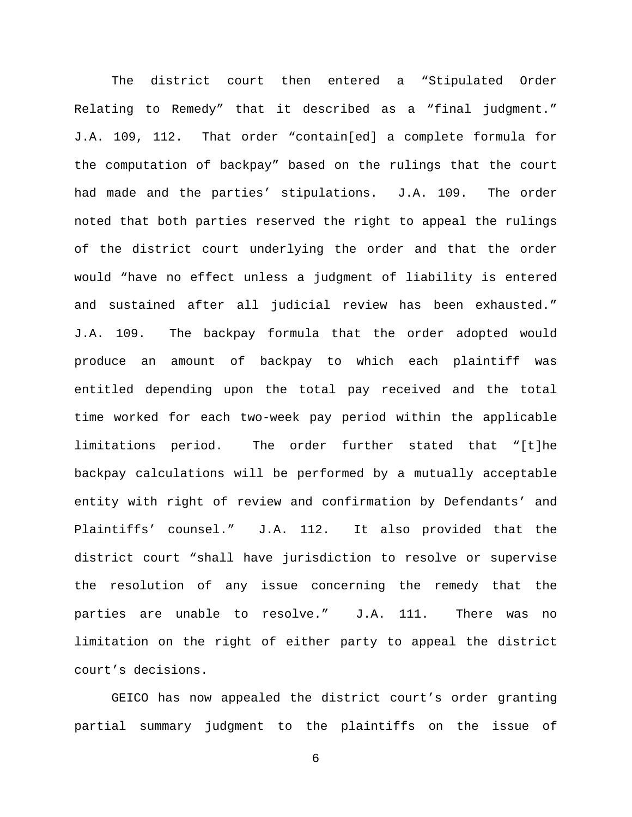The district court then entered a "Stipulated Order Relating to Remedy" that it described as a "final judgment." J.A. 109, 112. That order "contain[ed] a complete formula for the computation of backpay" based on the rulings that the court had made and the parties' stipulations. J.A. 109. The order noted that both parties reserved the right to appeal the rulings of the district court underlying the order and that the order would "have no effect unless a judgment of liability is entered and sustained after all judicial review has been exhausted." J.A. 109. The backpay formula that the order adopted would produce an amount of backpay to which each plaintiff was entitled depending upon the total pay received and the total time worked for each two-week pay period within the applicable limitations period. The order further stated that "[t]he backpay calculations will be performed by a mutually acceptable entity with right of review and confirmation by Defendants' and Plaintiffs' counsel." J.A. 112. It also provided that the district court "shall have jurisdiction to resolve or supervise the resolution of any issue concerning the remedy that the parties are unable to resolve." J.A. 111. There was no limitation on the right of either party to appeal the district court's decisions.

GEICO has now appealed the district court's order granting partial summary judgment to the plaintiffs on the issue of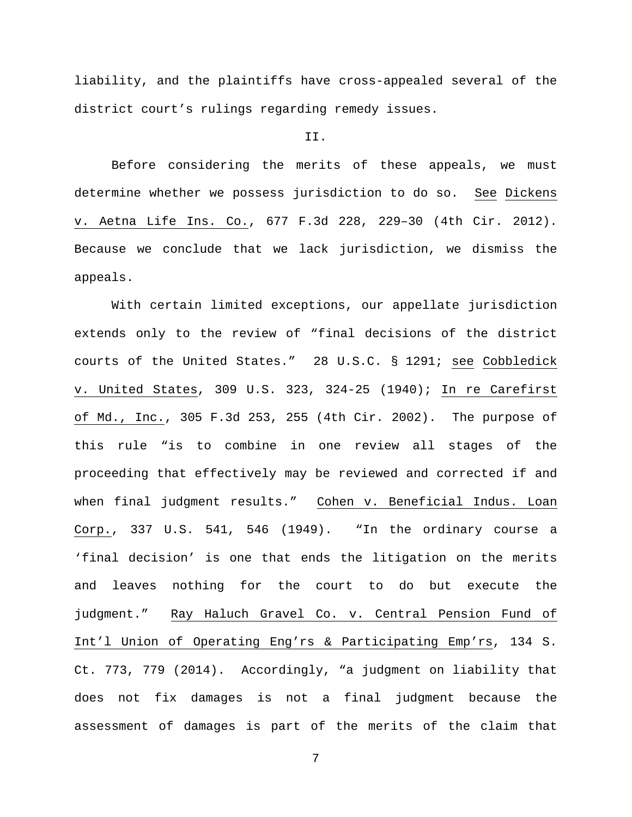liability, and the plaintiffs have cross-appealed several of the district court's rulings regarding remedy issues.

## II.

Before considering the merits of these appeals, we must determine whether we possess jurisdiction to do so. See Dickens v. Aetna Life Ins. Co., 677 F.3d 228, 229–30 (4th Cir. 2012). Because we conclude that we lack jurisdiction, we dismiss the appeals.

With certain limited exceptions, our appellate jurisdiction extends only to the review of "final decisions of the district courts of the United States." 28 U.S.C. § 1291; see Cobbledick v. United States, 309 U.S. 323, 324-25 (1940); In re Carefirst of Md., Inc., 305 F.3d 253, 255 (4th Cir. 2002). The purpose of this rule "is to combine in one review all stages of the proceeding that effectively may be reviewed and corrected if and when final judgment results." Cohen v. Beneficial Indus. Loan Corp., 337 U.S. 541, 546 (1949). "In the ordinary course a 'final decision' is one that ends the litigation on the merits and leaves nothing for the court to do but execute the judgment." Ray Haluch Gravel Co. v. Central Pension Fund of Int'l Union of Operating Eng'rs & Participating Emp'rs, 134 S. Ct. 773, 779 (2014). Accordingly, "a judgment on liability that does not fix damages is not a final judgment because the assessment of damages is part of the merits of the claim that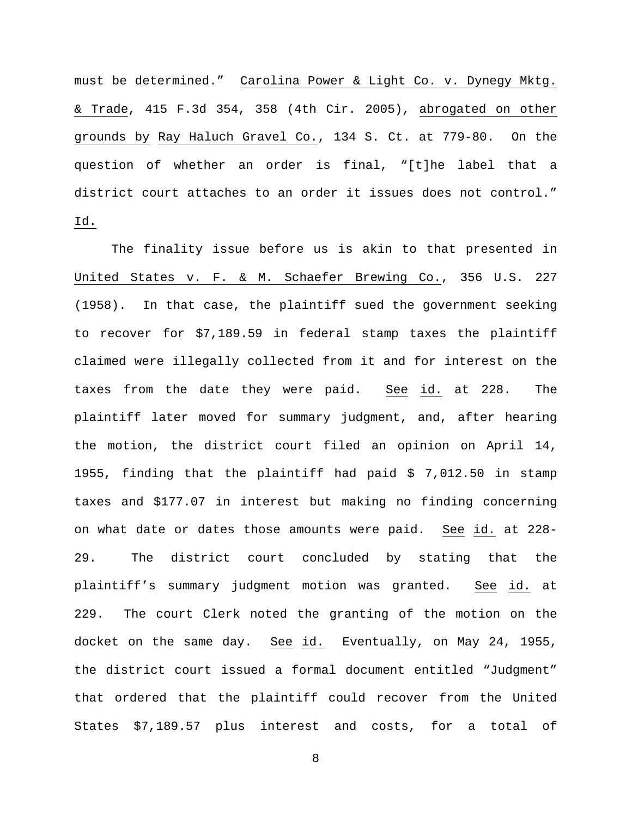must be determined." Carolina Power & Light Co. v. Dynegy Mktg. & Trade, 415 F.3d 354, 358 (4th Cir. 2005), abrogated on other grounds by Ray Haluch Gravel Co., 134 S. Ct. at 779-80. On the question of whether an order is final, "[t]he label that a district court attaches to an order it issues does not control." Id.

The finality issue before us is akin to that presented in United States v. F. & M. Schaefer Brewing Co., 356 U.S. 227 (1958). In that case, the plaintiff sued the government seeking to recover for \$7,189.59 in federal stamp taxes the plaintiff claimed were illegally collected from it and for interest on the taxes from the date they were paid. See id. at 228. The plaintiff later moved for summary judgment, and, after hearing the motion, the district court filed an opinion on April 14, 1955, finding that the plaintiff had paid \$ 7,012.50 in stamp taxes and \$177.07 in interest but making no finding concerning on what date or dates those amounts were paid. See id. at 228- 29. The district court concluded by stating that the plaintiff's summary judgment motion was granted. See id. at 229. The court Clerk noted the granting of the motion on the docket on the same day. See id. Eventually, on May 24, 1955, the district court issued a formal document entitled "Judgment" that ordered that the plaintiff could recover from the United States \$7,189.57 plus interest and costs, for a total of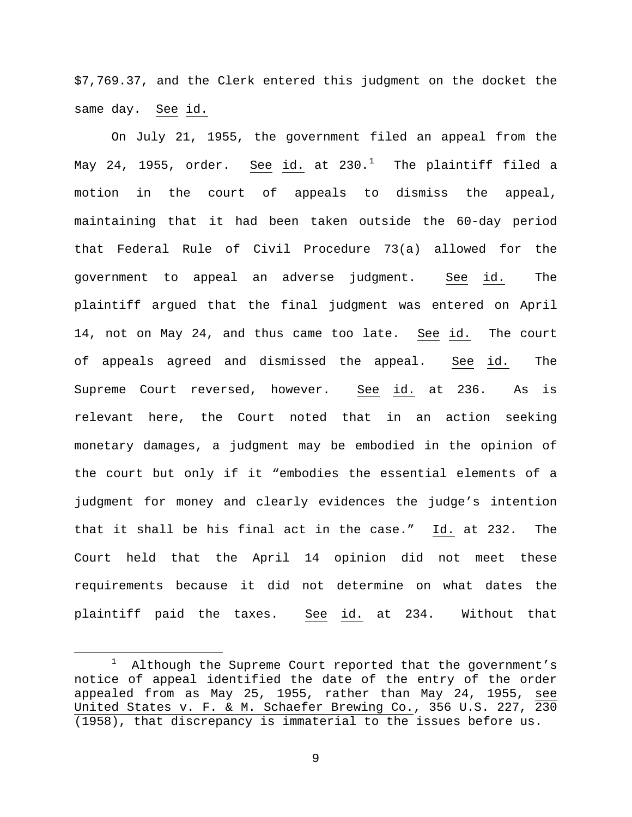\$7,769.37, and the Clerk entered this judgment on the docket the same day. See id.

On July 21, 1955, the government filed an appeal from the May 24, [1](#page-8-0)955, order. <u>See</u> <u>id.</u> at 230.<sup>1</sup> The plaintiff filed a motion in the court of appeals to dismiss the appeal, maintaining that it had been taken outside the 60-day period that Federal Rule of Civil Procedure 73(a) allowed for the government to appeal an adverse judgment. See id. The plaintiff argued that the final judgment was entered on April 14, not on May 24, and thus came too late. See id. The court of appeals agreed and dismissed the appeal. See id. The Supreme Court reversed, however. See id. at 236. As is relevant here, the Court noted that in an action seeking monetary damages, a judgment may be embodied in the opinion of the court but only if it "embodies the essential elements of a judgment for money and clearly evidences the judge's intention that it shall be his final act in the case." Id. at 232. The Court held that the April 14 opinion did not meet these requirements because it did not determine on what dates the plaintiff paid the taxes. See id. at 234. Without that

<span id="page-8-0"></span> <sup>1</sup>  $1$  Although the Supreme Court reported that the government's notice of appeal identified the date of the entry of the order appealed from as May 25, 1955, rather than May 24, 1955, see United States v. F. & M. Schaefer Brewing Co., 356 U.S. 227, 230 (1958), that discrepancy is immaterial to the issues before us.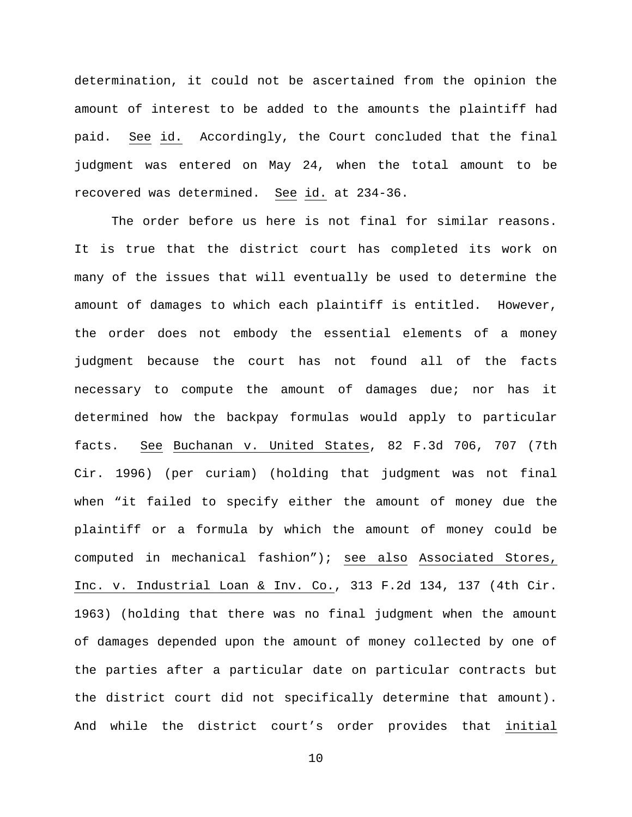determination, it could not be ascertained from the opinion the amount of interest to be added to the amounts the plaintiff had paid. See id. Accordingly, the Court concluded that the final judgment was entered on May 24, when the total amount to be recovered was determined. See id. at 234-36.

The order before us here is not final for similar reasons. It is true that the district court has completed its work on many of the issues that will eventually be used to determine the amount of damages to which each plaintiff is entitled. However, the order does not embody the essential elements of a money judgment because the court has not found all of the facts necessary to compute the amount of damages due; nor has it determined how the backpay formulas would apply to particular facts. See Buchanan v. United States, 82 F.3d 706, 707 (7th Cir. 1996) (per curiam) (holding that judgment was not final when "it failed to specify either the amount of money due the plaintiff or a formula by which the amount of money could be computed in mechanical fashion"); see also Associated Stores, Inc. v. Industrial Loan & Inv. Co., 313 F.2d 134, 137 (4th Cir. 1963) (holding that there was no final judgment when the amount of damages depended upon the amount of money collected by one of the parties after a particular date on particular contracts but the district court did not specifically determine that amount). And while the district court's order provides that initial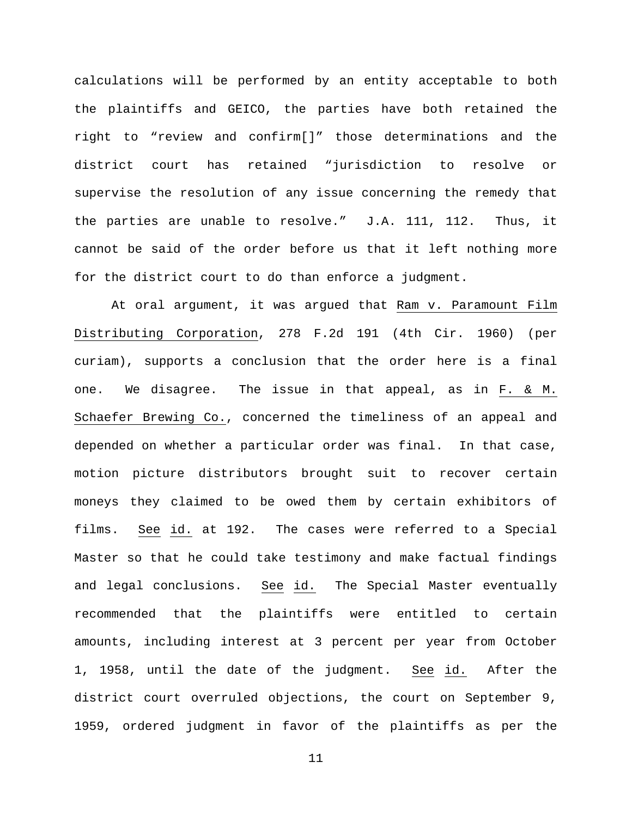calculations will be performed by an entity acceptable to both the plaintiffs and GEICO, the parties have both retained the right to "review and confirm[]" those determinations and the district court has retained "jurisdiction to resolve or supervise the resolution of any issue concerning the remedy that the parties are unable to resolve." J.A. 111, 112. Thus, it cannot be said of the order before us that it left nothing more for the district court to do than enforce a judgment.

At oral argument, it was argued that Ram v. Paramount Film Distributing Corporation, 278 F.2d 191 (4th Cir. 1960) (per curiam), supports a conclusion that the order here is a final one. We disagree. The issue in that appeal, as in F. & M. Schaefer Brewing Co., concerned the timeliness of an appeal and depended on whether a particular order was final. In that case, motion picture distributors brought suit to recover certain moneys they claimed to be owed them by certain exhibitors of films. See id. at 192. The cases were referred to a Special Master so that he could take testimony and make factual findings and legal conclusions. See id. The Special Master eventually recommended that the plaintiffs were entitled to certain amounts, including interest at 3 percent per year from October 1, 1958, until the date of the judgment. See id. After the district court overruled objections, the court on September 9, 1959, ordered judgment in favor of the plaintiffs as per the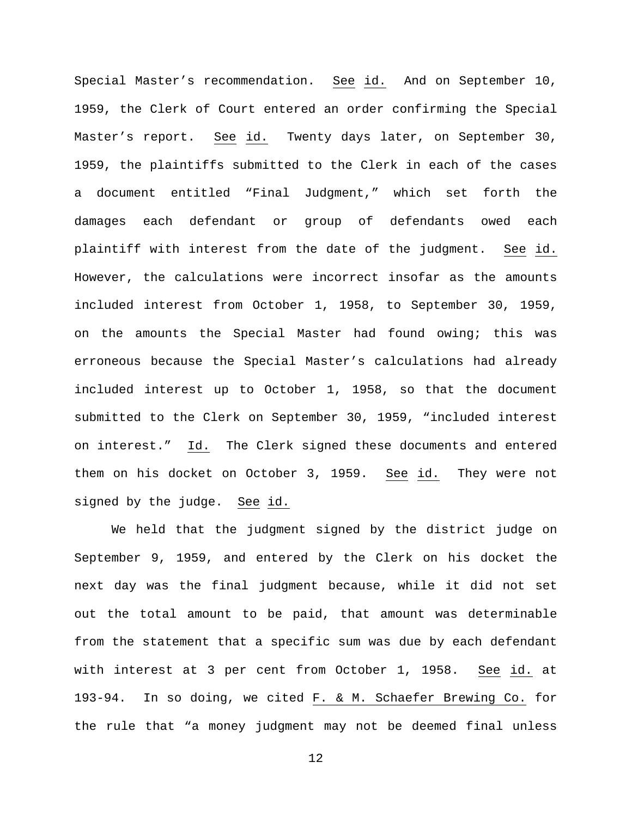Special Master's recommendation. See id. And on September 10, 1959, the Clerk of Court entered an order confirming the Special Master's report. See id. Twenty days later, on September 30, 1959, the plaintiffs submitted to the Clerk in each of the cases a document entitled "Final Judgment," which set forth the damages each defendant or group of defendants owed each plaintiff with interest from the date of the judgment. See id. However, the calculations were incorrect insofar as the amounts included interest from October 1, 1958, to September 30, 1959, on the amounts the Special Master had found owing; this was erroneous because the Special Master's calculations had already included interest up to October 1, 1958, so that the document submitted to the Clerk on September 30, 1959, "included interest on interest." Id. The Clerk signed these documents and entered them on his docket on October 3, 1959. See id. They were not signed by the judge. See id.

We held that the judgment signed by the district judge on September 9, 1959, and entered by the Clerk on his docket the next day was the final judgment because, while it did not set out the total amount to be paid, that amount was determinable from the statement that a specific sum was due by each defendant with interest at 3 per cent from October 1, 1958. See id. at 193-94. In so doing, we cited F. & M. Schaefer Brewing Co. for the rule that "a money judgment may not be deemed final unless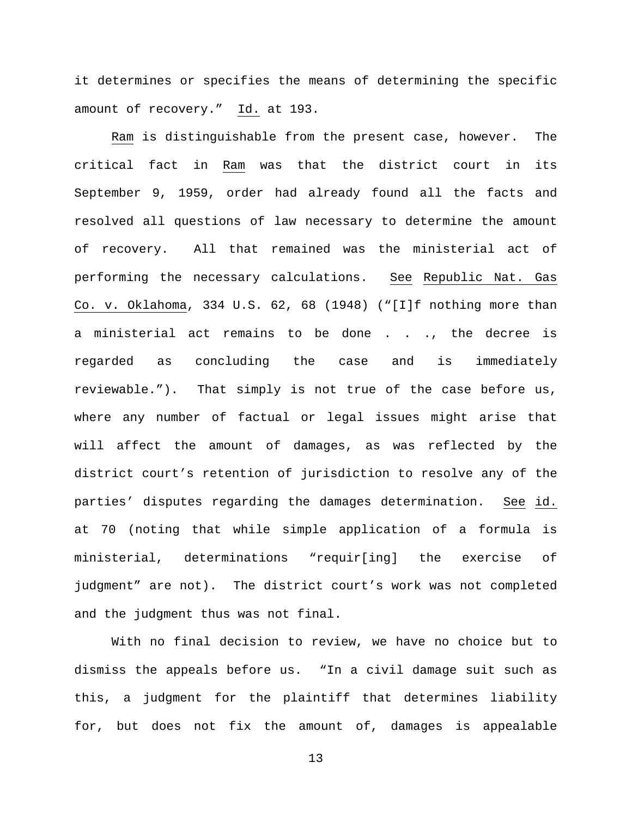it determines or specifies the means of determining the specific amount of recovery." Id. at 193.

Ram is distinguishable from the present case, however. The critical fact in Ram was that the district court in its September 9, 1959, order had already found all the facts and resolved all questions of law necessary to determine the amount of recovery. All that remained was the ministerial act of performing the necessary calculations. See Republic Nat. Gas Co. v. Oklahoma, 334 U.S. 62, 68 (1948) ("[I]f nothing more than a ministerial act remains to be done . . ., the decree is regarded as concluding the case and is immediately reviewable."). That simply is not true of the case before us, where any number of factual or legal issues might arise that will affect the amount of damages, as was reflected by the district court's retention of jurisdiction to resolve any of the parties' disputes regarding the damages determination. See id. at 70 (noting that while simple application of a formula is ministerial, determinations "requir[ing] the exercise of judgment" are not). The district court's work was not completed and the judgment thus was not final.

With no final decision to review, we have no choice but to dismiss the appeals before us. "In a civil damage suit such as this, a judgment for the plaintiff that determines liability for, but does not fix the amount of, damages is appealable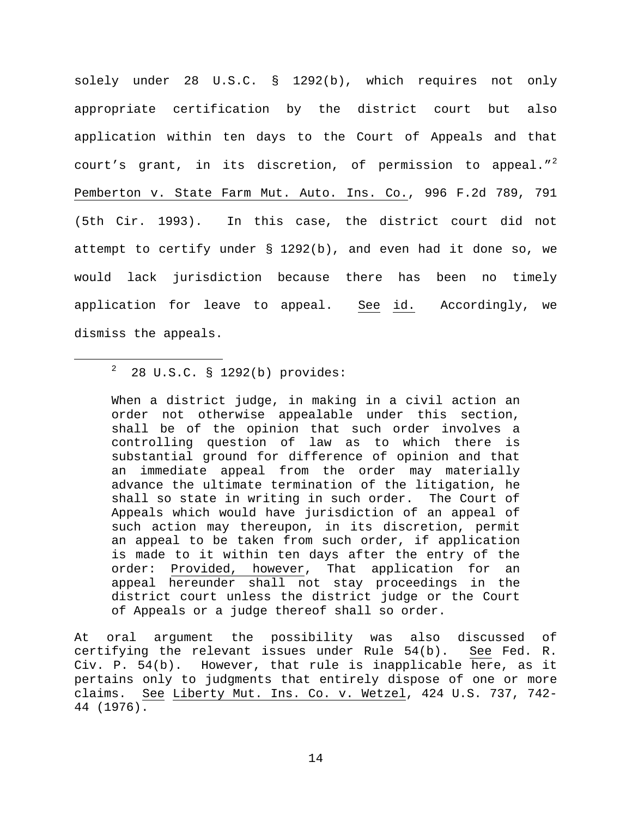solely under 28 U.S.C. § 1292(b), which requires not only appropriate certification by the district court but also application within ten days to the Court of Appeals and that court's grant, in its discretion, of permission to appeal." $^{2}$  $^{2}$  $^{2}$ Pemberton v. State Farm Mut. Auto. Ins. Co., 996 F.2d 789, 791 (5th Cir. 1993). In this case, the district court did not attempt to certify under § 1292(b), and even had it done so, we would lack jurisdiction because there has been no timely application for leave to appeal. See id. Accordingly, we dismiss the appeals.

When a district judge, in making in a civil action an order not otherwise appealable under this section, shall be of the opinion that such order involves a controlling question of law as to which there is substantial ground for difference of opinion and that an immediate appeal from the order may materially advance the ultimate termination of the litigation, he shall so state in writing in such order. The Court of Appeals which would have jurisdiction of an appeal of such action may thereupon, in its discretion, permit an appeal to be taken from such order, if application is made to it within ten days after the entry of the order: Provided, however, That application for an appeal hereunder shall not stay proceedings in the district court unless the district judge or the Court of Appeals or a judge thereof shall so order.

At oral argument the possibility was also discussed of certifying the relevant issues under Rule 54(b). See Fed. R. Civ. P. 54(b). However, that rule is inapplicable here, as it pertains only to judgments that entirely dispose of one or more claims. See Liberty Mut. Ins. Co. v. Wetzel, 424 U.S. 737, 742- 44 (1976).

<span id="page-13-0"></span> $\overline{\phantom{a}}$  $28$  U.S.C. § 1292(b) provides: